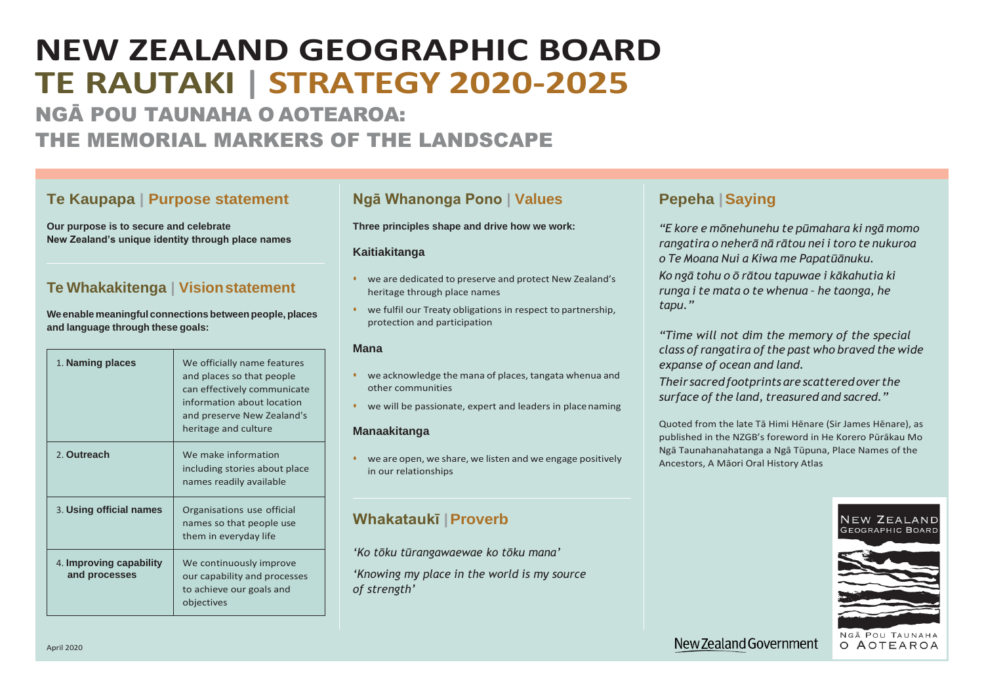# **NEW ZEALAND GEOGRAPHIC BOARD TE RAUTAKI | STRATEGY 2020-2025** NGĀ POU TAUNAHA O AOTEAROA:

THE MEMORIAL MARKERS OF THE LANDSCAPE

### **Te Kaupapa | Purpose statement**

**Our purpose is to secure and celebrate New Zealand's unique identity through place names**

## **Te Whakakitenga | Visionstatement**

**Weenablemeaningful connections betweenpeople, places and language through these goals:**

- we acknowledge the mana of places, tangata whenua and other communities
- we will be passionate, expert and leaders in place naming

| 1. Naming places                         | We officially name features<br>and places so that people<br>can effectively communicate<br>information about location<br>and preserve New Zealand's<br>heritage and culture |
|------------------------------------------|-----------------------------------------------------------------------------------------------------------------------------------------------------------------------------|
| 2. Outreach                              | We make information<br>including stories about place<br>names readily available                                                                                             |
| 3. Using official names                  | Organisations use official<br>names so that people use<br>them in everyday life                                                                                             |
| 4. Improving capability<br>and processes | We continuously improve<br>our capability and processes<br>to achieve our goals and<br>objectives                                                                           |



New Zealand Government

### **Ngā Whanonga Pono | Values**

**Three principles shape and drive how we work:**

### **Kaitiakitanga**

- we are dedicated to preserve and protect New Zealand's heritage through place names
- we fulfil our Treaty obligations in respect to partnership, protection and participation

### **Mana**

### **Manaakitanga**

• we are open, we share, we listen and we engage positively in our relationships

### **Whakataukī |Proverb**

*'Ko tōku tūrangawaewae ko tōku mana'*

*'Knowing my place in the world is my source of strength'*

### **Pepeha |Saying**

*"E kore e mōnehunehu te pūmahara ki ngā momo rangatira o neherā nā rātou nei i toro te nukuroa o Te Moana Nui a Kiwa me Papatūānuku. Ko ngā tohu o ō rātou tapuwae i kākahutia ki runga i te mata o te whenua – he taonga, he tapu."*

*"Time will not dim the memory of the special class of rangatira of the past who braved the wide expanse of ocean and land. Their sacredfootprints are scattered over the surface of the land, treasured and sacred."*

Quoted from the late Tā Himi Hēnare (Sir James Hēnare), as published in the NZGB's foreword in He Korero Pūrākau Mo Ngā Taunahanahatanga a Ngā Tūpuna, Place Names of the Ancestors, A Māori Oral History Atlas